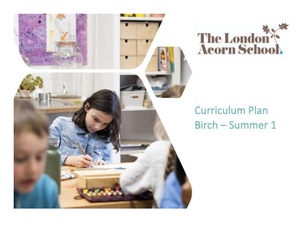



## **Curriculum Plan** Birch - Summer 1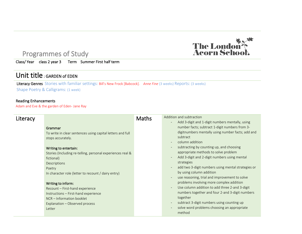# The London

#### Programmes of Study

Class/ Year class 2 year 3 Term Summer First half term

#### Unit title : GARDEN of EDEN

Literacy Genres Stories with familiar settings: Bill's New Frock [Babcock]. *Anne Fine* (3 weeks) Reports: (3 weeks) Shape Poetry & Calligrams: (1 week)

#### Reading Enhancements

Adam and Eve & the garden of Eden- Jane Ray

| Literacy |                                                                                                                                                                                                                                                                                                                                           | <b>Maths</b> | Addition and subtraction<br>Add 3-digit and 1-digit numbers mentally, using<br>$\overline{\phantom{a}}$                                                                                                                                                                                                                                                                                                                                                                                                                                                                                                                                                           |
|----------|-------------------------------------------------------------------------------------------------------------------------------------------------------------------------------------------------------------------------------------------------------------------------------------------------------------------------------------------|--------------|-------------------------------------------------------------------------------------------------------------------------------------------------------------------------------------------------------------------------------------------------------------------------------------------------------------------------------------------------------------------------------------------------------------------------------------------------------------------------------------------------------------------------------------------------------------------------------------------------------------------------------------------------------------------|
|          | Grammar<br>To write in clear sentences using capital letters and full<br>stops accurately.<br>Writing to entertain:<br>Stories (Including re-telling, personal experiences real &<br>fictional)<br>Descriptions<br>Poetry<br>In character role (letter to recount / dairy entry)<br>Writing to inform:<br>Recount - First-hand experience |              | number facts; subtract 1-digit numbers from 3-<br>digitnumbers mentally using number facts; add and<br>subtract<br>column addition<br>$\overline{\phantom{a}}$<br>subtracting by counting up, and choosing<br>$\overline{\phantom{a}}$<br>appropriate methods to solve problem<br>Add 3-digit and 2-digit numbers using mental<br>$\overline{\phantom{a}}$<br>strategies<br>add two 3-digit numbers using mental strategies or<br>$\overline{\phantom{a}}$<br>by using column addition<br>use reasoning, trial and improvement to solve<br>problems involving more complex addition<br>Use column addition to add three 2-and 3-digit<br>$\overline{\phantom{a}}$ |
|          | Instructions - First-hand experience<br>NCR - Information booklet<br>Explanation - Observed process<br>Letter                                                                                                                                                                                                                             |              | numbers together and four 2-and 3-digit numbers<br>together<br>subtract 3-digit numbers using counting up<br>$\overline{\phantom{a}}$<br>solve word problems choosing an appropriate<br>method                                                                                                                                                                                                                                                                                                                                                                                                                                                                    |

 $\overline{a}$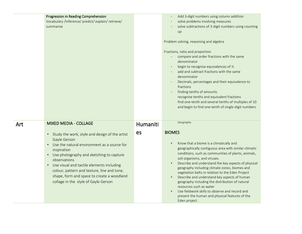|     | Progression in Reading Comprehension<br>Vocabulary /Inference/ predict/ explain/ retrieve/<br>summarise                                                                                                                                                                                                                                                                                                                                                        |                | Add 3-digit numbers using column addition<br>solve problems involving measures<br>solve subtractions of 3-digit numbers using counting<br>up<br>Problem solving, reasoning and algebra<br>Fractions, ratio and proportion<br>compare and order fractions with the same<br>denominator<br>begin to recognise equivalences of 1/2<br>add and subtract fractions with the same<br>denominator<br>Decimals, percentages and their equivalence to<br>fractions<br>finding tenths of amounts<br>recognise tenths and equivalent fractions<br>find one-tenth and several tenths of multiples of 10<br>and begin to find one-tenth of single-digit numbers |
|-----|----------------------------------------------------------------------------------------------------------------------------------------------------------------------------------------------------------------------------------------------------------------------------------------------------------------------------------------------------------------------------------------------------------------------------------------------------------------|----------------|----------------------------------------------------------------------------------------------------------------------------------------------------------------------------------------------------------------------------------------------------------------------------------------------------------------------------------------------------------------------------------------------------------------------------------------------------------------------------------------------------------------------------------------------------------------------------------------------------------------------------------------------------|
| Art | <b>MIXED MEDIA - COLLAGE</b><br>Study the work, style and design of the artist<br>$\bullet$<br>Gayle Gerson<br>Use the natural environment as a source for<br>$\bullet$<br>inspiration<br>Use photography and sketching to capture<br>$\bullet$<br>observations<br>Use visual and tactile elements including<br>$\bullet$<br>colour, pattern and texture, line and tone,<br>shape, form and space to create a woodland<br>collage in the style of Gayle Gerson | Humaniti<br>es | Geography<br><b>BIOMES</b><br>Know that a biome is a climatically and<br>geographically contiguous area with similar climatic<br>conditions, such as communities of plants, animals,<br>soil organisms, and viruses.<br>Describe and understand the key aspects of physical<br>geography including climate zones, biomes and<br>vegetation belts in relation to the Eden Project<br>Describe and understand key aspects of human<br>geography including the distribution of natural<br>resources such as water<br>Use fieldwork skills to observe and record and<br>present the human and physical features of the<br>Eden project                 |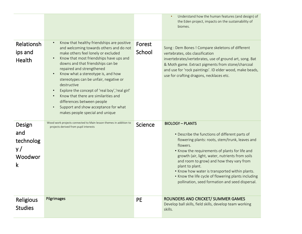|                                                            |                                                                                                                                                                                                                                                                                                                                                                                                                                                                                                                                             |                  | Understand how the human features (and design) of<br>the Eden project, impacts on the sustainability of<br>biomes.                                                                                                                                                                                                                                                                                                                                                       |
|------------------------------------------------------------|---------------------------------------------------------------------------------------------------------------------------------------------------------------------------------------------------------------------------------------------------------------------------------------------------------------------------------------------------------------------------------------------------------------------------------------------------------------------------------------------------------------------------------------------|------------------|--------------------------------------------------------------------------------------------------------------------------------------------------------------------------------------------------------------------------------------------------------------------------------------------------------------------------------------------------------------------------------------------------------------------------------------------------------------------------|
| Relationsh<br>ips and<br><b>Health</b>                     | Know that healthy friendships are positive<br>and welcoming towards others and do not<br>make others feel lonely or excluded<br>Know that most friendships have ups and<br>downs and that friendships can be<br>repaired and strengthened<br>Know what a stereotype is, and how<br>stereotypes can be unfair, negative or<br>destructive<br>Explore the concept of 'real boy', 'real girl'<br>Know that there are similarities and<br>differences between people<br>Support and show acceptance for what<br>makes people special and unique | Forest<br>School | Song: Dem Bones! Compare skeletons of different<br>vertebrates, obs classification<br>invertebrates/vertebrates, use of ground art, song. Bat<br>& Moth game. Extract pigments from stone/charcoal<br>and use for 'rock paintings'. ID elder wood, make beads,<br>use for crafting dragons, necklaces etc.                                                                                                                                                               |
| Design<br>and<br>technolog<br>y/<br>Woodwor<br>$\mathsf k$ | Wood work projects connected to Main lesson themes in addition to<br>projects derived from pupil interests                                                                                                                                                                                                                                                                                                                                                                                                                                  | Science          | <b>BIOLOGY - PLANTS</b><br>• Describe the functions of different parts of<br>flowering plants: roots, stem/trunk, leaves and<br>flowers.<br>• Know the requirements of plants for life and<br>growth (air, light, water, nutrients from soils<br>and room to grow) and how they vary from<br>plant to plant.<br>• Know how water is transported within plants.<br>• Know the life cycle of flowering plants including<br>pollination, seed formation and seed dispersal. |
| <b>Religious</b><br><b>Studies</b>                         | Pilgrimages                                                                                                                                                                                                                                                                                                                                                                                                                                                                                                                                 | <b>PE</b>        | ROUNDERS AND CRICKET/ SUMMER GAMES<br>Develop ball skills, field skills, develop team working<br>skills.                                                                                                                                                                                                                                                                                                                                                                 |